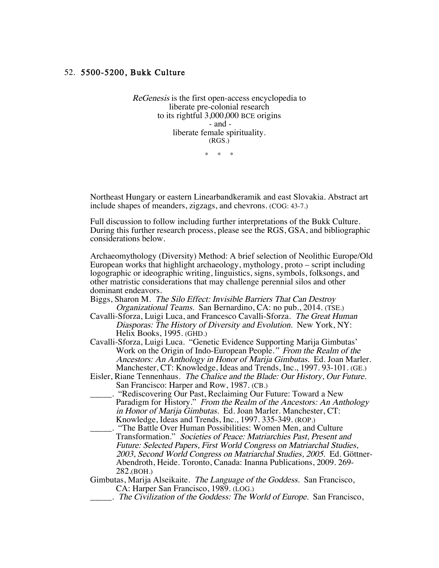## 52. 5500-5200, Bukk Culture

ReGenesis is the first open-access encyclopedia to liberate pre-colonial research to its rightful 3,000,000 BCE origins - and liberate female spirituality. (RGS.)

\* \* \*

Northeast Hungary or eastern Linearbandkeramik and east Slovakia. Abstract art include shapes of meanders, zigzags, and chevrons. (COG: 43-7.)

Full discussion to follow including further interpretations of the Bukk Culture. During this further research process, please see the RGS, GSA, and bibliographic considerations below.

Archaeomythology (Diversity) Method: A brief selection of Neolithic Europe/Old European works that highlight archaeology, mythology, proto – script including logographic or ideographic writing, linguistics, signs, symbols, folksongs, and other matristic considerations that may challenge perennial silos and other dominant endeavors.

- Biggs, Sharon M. The Silo Effect: Invisible Barriers That Can Destroy Organizational Teams. San Bernardino, CA: no pub., 2014. (TSE.)
- Cavalli-Sforza, Luigi Luca, and Francesco Cavalli-Sforza. The Great Human Diasporas: The History of Diversity and Evolution. New York, NY: Helix Books, 1995. (GHD.)
- Cavalli-Sforza, Luigi Luca. "Genetic Evidence Supporting Marija Gimbutas' Work on the Origin of Indo-European People." From the Realm of the Ancestors: An Anthology in Honor of Marija Gimbutas. Ed. Joan Marler. Manchester, CT: Knowledge, Ideas and Trends, Inc., 1997. 93-101. (GE.)
- Eisler, Riane Tennenhaus. The Chalice and the Blade: Our History, Our Future. San Francisco: Harper and Row, 1987. (CB.)
- "Rediscovering Our Past, Reclaiming Our Future: Toward a New Paradigm for History." From the Realm of the Ancestors: An Anthology in Honor of Marija Gimbutas. Ed. Joan Marler. Manchester, CT: Knowledge, Ideas and Trends, Inc., 1997. 335-349. (ROP.)
- \_\_\_\_\_. "The Battle Over Human Possibilities: Women Men, and Culture Transformation." Societies of Peace: Matriarchies Past, Present and Future: Selected Papers, First World Congress on Matriarchal Studies, 2003, Second World Congress on Matriarchal Studies, 2005. Ed. Göttner-Abendroth, Heide. Toronto, Canada: Inanna Publications, 2009. 269- 282.(BOH.)

Gimbutas, Marija Alseikaite. *The Language of the Goddess*. San Francisco, CA: Harper San Francisco, 1989. (LOG.)

\_\_\_\_\_. The Civilization of the Goddess: The World of Europe. San Francisco,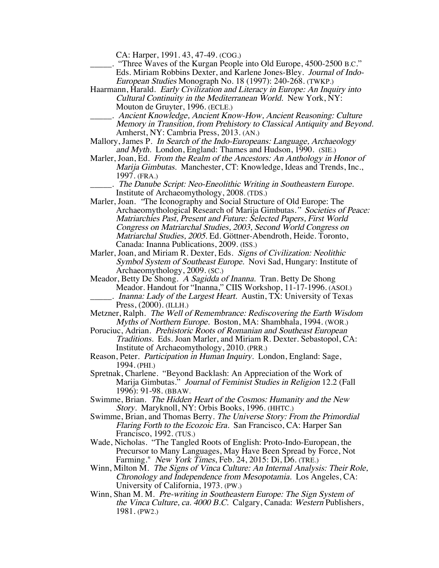CA: Harper, 1991. 43, 47-49. (COG.)

- "Three Waves of the Kurgan People into Old Europe, 4500-2500 B.C." Eds. Miriam Robbins Dexter, and Karlene Jones-Bley. Journal of Indo-European Studies Monograph No. 18 (1997): 240-268. (TWKP.)
- Haarmann, Harald. Early Civilization and Literacy in Europe: An Inquiry into Cultural Continuity in the Mediterranean World. New York, NY: Mouton de Gruyter, 1996. (ECLE.)
- \_\_\_\_\_. Ancient Knowledge, Ancient Know-How, Ancient Reasoning: Culture Memory in Transition, from Prehistory to Classical Antiquity and Beyond. Amherst, NY: Cambria Press, 2013. (AN.)
- Mallory, James P. In Search of the Indo-Europeans: Language, Archaeology and Myth. London, England: Thames and Hudson, 1990. (SIE.)
- Marler, Joan, Ed. From the Realm of the Ancestors: An Anthology in Honor of Marija Gimbutas. Manchester, CT: Knowledge, Ideas and Trends, Inc., 1997. (FRA.)
	- \_\_\_\_\_. The Danube Script: Neo-Eneolithic Writing in Southeastern Europe. Institute of Archaeomythology, 2008. (TDS.)
- Marler, Joan. "The Iconography and Social Structure of Old Europe: The Archaeomythological Research of Marija Gimbutas." Societies of Peace: Matriarchies Past, Present and Future: Selected Papers, First World Congress on Matriarchal Studies, 2003, Second World Congress on Matriarchal Studies, 2005. Ed. Göttner-Abendroth, Heide. Toronto, Canada: Inanna Publications, 2009. (ISS.)
- Marler, Joan, and Miriam R. Dexter, Eds. Signs of Civilization: Neolithic Symbol System of Southeast Europe. Novi Sad, Hungary: Institute of Archaeomythology, 2009. (SC.)
- Meador, Betty De Shong. A Sagidda of Inanna. Tran. Betty De Shong Meador. Handout for "Inanna," CIIS Workshop, 11-17-1996. (ASOI.) . Inanna: Lady of the Largest Heart. Austin, TX: University of Texas

- Metzner, Ralph. The Well of Remembrance: Rediscovering the Earth Wisdom Myths of Northern Europe. Boston, MA: Shambhala, 1994. (WOR.)
- Poruciuc, Adrian. Prehistoric Roots of Romanian and Southeast European Traditions. Eds. Joan Marler, and Miriam R. Dexter. Sebastopol, CA: Institute of Archaeomythology, 2010. (PRR.)
- Reason, Peter. Participation in Human Inquiry. London, England: Sage, 1994. (PHI.)
- Spretnak, Charlene. "Beyond Backlash: An Appreciation of the Work of Marija Gimbutas." Journal of Feminist Studies in Religion 12.2 (Fall 1996): 91-98. (BBAW.
- Swimme, Brian. The Hidden Heart of the Cosmos: Humanity and the New Story. Maryknoll, NY: Orbis Books, 1996. (HHTC.)
- Swimme, Brian, and Thomas Berry. The Universe Story: From the Primordial Flaring Forth to the Ecozoic Era. San Francisco, CA: Harper San Francisco, 1992. (TUS.)
- Wade, Nicholas. "The Tangled Roots of English: Proto-Indo-European, the Precursor to Many Languages, May Have Been Spread by Force, Not Farming." *New York Times*, Feb. 24, 2015: Di, D6. (TRE.)
- Winn, Milton M. The Signs of Vinca Culture: An Internal Analysis: Their Role, Chronology and Independence from Mesopotamia. Los Angeles, CA: University of California, 1973. (PW.)
- Winn, Shan M. M. Pre-writing in Southeastern Europe: The Sign System of the Vinca Culture, ca. 4000 B.C. Calgary, Canada: Western Publishers, 1981. (PW2.)

Press, (2000). (ILLH.)